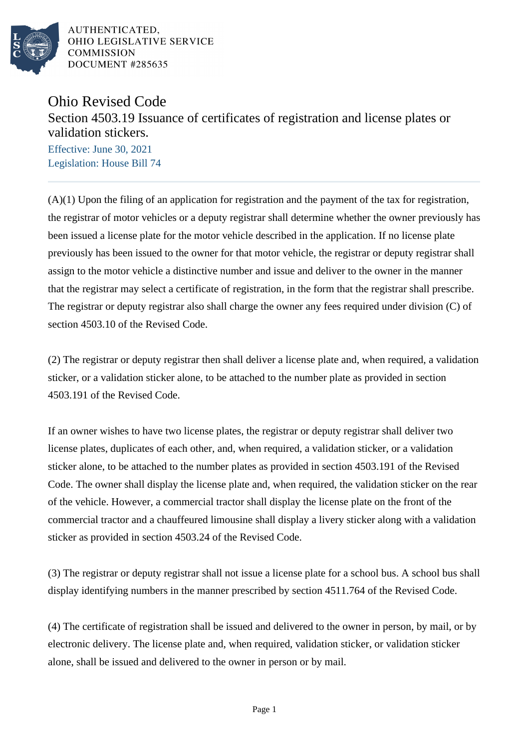

AUTHENTICATED. OHIO LEGISLATIVE SERVICE **COMMISSION** DOCUMENT #285635

## Ohio Revised Code

Section 4503.19 Issuance of certificates of registration and license plates or validation stickers.

Effective: June 30, 2021 Legislation: House Bill 74

 $(A)(1)$  Upon the filing of an application for registration and the payment of the tax for registration, the registrar of motor vehicles or a deputy registrar shall determine whether the owner previously has been issued a license plate for the motor vehicle described in the application. If no license plate previously has been issued to the owner for that motor vehicle, the registrar or deputy registrar shall assign to the motor vehicle a distinctive number and issue and deliver to the owner in the manner that the registrar may select a certificate of registration, in the form that the registrar shall prescribe. The registrar or deputy registrar also shall charge the owner any fees required under division (C) of section 4503.10 of the Revised Code.

(2) The registrar or deputy registrar then shall deliver a license plate and, when required, a validation sticker, or a validation sticker alone, to be attached to the number plate as provided in section 4503.191 of the Revised Code.

If an owner wishes to have two license plates, the registrar or deputy registrar shall deliver two license plates, duplicates of each other, and, when required, a validation sticker, or a validation sticker alone, to be attached to the number plates as provided in section 4503.191 of the Revised Code. The owner shall display the license plate and, when required, the validation sticker on the rear of the vehicle. However, a commercial tractor shall display the license plate on the front of the commercial tractor and a chauffeured limousine shall display a livery sticker along with a validation sticker as provided in section 4503.24 of the Revised Code.

(3) The registrar or deputy registrar shall not issue a license plate for a school bus. A school bus shall display identifying numbers in the manner prescribed by section 4511.764 of the Revised Code.

(4) The certificate of registration shall be issued and delivered to the owner in person, by mail, or by electronic delivery. The license plate and, when required, validation sticker, or validation sticker alone, shall be issued and delivered to the owner in person or by mail.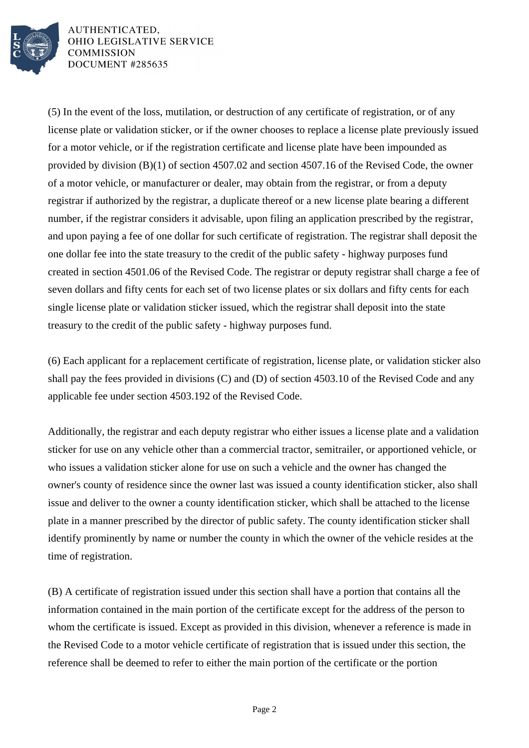

AUTHENTICATED. OHIO LEGISLATIVE SERVICE **COMMISSION** DOCUMENT #285635

(5) In the event of the loss, mutilation, or destruction of any certificate of registration, or of any license plate or validation sticker, or if the owner chooses to replace a license plate previously issued for a motor vehicle, or if the registration certificate and license plate have been impounded as provided by division (B)(1) of section 4507.02 and section 4507.16 of the Revised Code, the owner of a motor vehicle, or manufacturer or dealer, may obtain from the registrar, or from a deputy registrar if authorized by the registrar, a duplicate thereof or a new license plate bearing a different number, if the registrar considers it advisable, upon filing an application prescribed by the registrar, and upon paying a fee of one dollar for such certificate of registration. The registrar shall deposit the one dollar fee into the state treasury to the credit of the public safety - highway purposes fund created in section 4501.06 of the Revised Code. The registrar or deputy registrar shall charge a fee of seven dollars and fifty cents for each set of two license plates or six dollars and fifty cents for each single license plate or validation sticker issued, which the registrar shall deposit into the state treasury to the credit of the public safety - highway purposes fund.

(6) Each applicant for a replacement certificate of registration, license plate, or validation sticker also shall pay the fees provided in divisions (C) and (D) of section 4503.10 of the Revised Code and any applicable fee under section 4503.192 of the Revised Code.

Additionally, the registrar and each deputy registrar who either issues a license plate and a validation sticker for use on any vehicle other than a commercial tractor, semitrailer, or apportioned vehicle, or who issues a validation sticker alone for use on such a vehicle and the owner has changed the owner's county of residence since the owner last was issued a county identification sticker, also shall issue and deliver to the owner a county identification sticker, which shall be attached to the license plate in a manner prescribed by the director of public safety. The county identification sticker shall identify prominently by name or number the county in which the owner of the vehicle resides at the time of registration.

(B) A certificate of registration issued under this section shall have a portion that contains all the information contained in the main portion of the certificate except for the address of the person to whom the certificate is issued. Except as provided in this division, whenever a reference is made in the Revised Code to a motor vehicle certificate of registration that is issued under this section, the reference shall be deemed to refer to either the main portion of the certificate or the portion